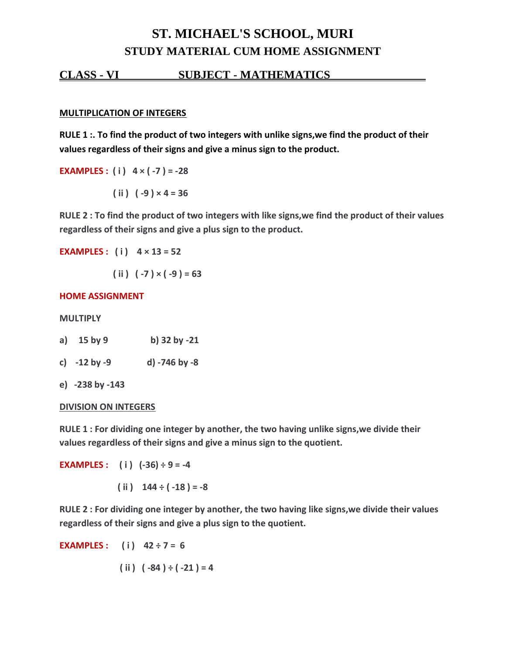# **ST. MICHAEL'S SCHOOL, MURI STUDY MATERIAL CUM HOME ASSIGNMENT**

# **CLASS - VI SUBJECT - MATHEMATICS .**

#### **MULTIPLICATION OF INTEGERS**

**RULE 1 :. To find the product of two integers with unlike signs,we find the product of their values regardless of their signs and give a minus sign to the product.**

**EXAMPLES :** (i)  $4 \times (-7) = -28$ 

 $(iii)$   $(-9) \times 4 = 36$ 

**RULE 2 : To find the product of two integers with like signs,we find the product of their values regardless of their signs and give a plus sign to the product.**

**EXAMPLES : ( i ) 4 × 13 = 52**

 $(iii) (-7) \times (-9) = 63$ 

### **HOME ASSIGNMENT**

#### **MULTIPLY**

- **a) 15 by 9 b) 32 by -21**
- **c) -12 by -9 d) -746 by -8**
- **e) -238 by -143**

#### **DIVISION ON INTEGERS**

**RULE 1 : For dividing one integer by another, the two having unlike signs,we divide their values regardless of their signs and give a minus sign to the quotient.**

**EXAMPLES**: (i)  $(-36) \div 9 = -4$ 

 $(iii)$  144 ÷  $(-18) = -8$ 

**RULE 2 : For dividing one integer by another, the two having like signs,we divide their values regardless of their signs and give a plus sign to the quotient.**

**EXAMPLES**: (i)  $42 \div 7 = 6$  $(iii) (-84) \div (-21) = 4$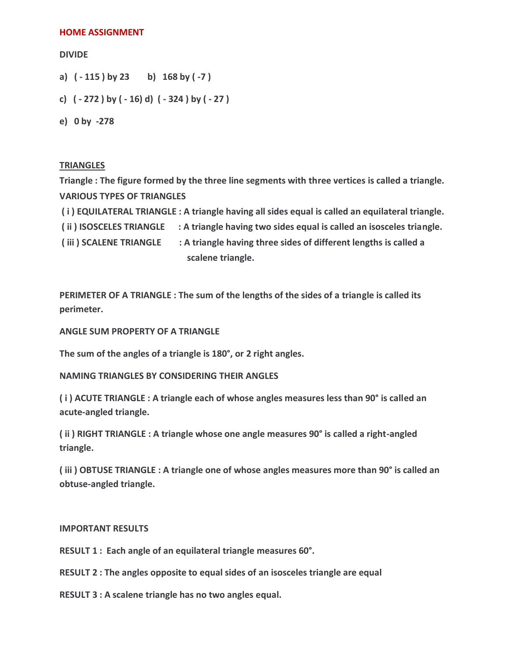#### **HOME ASSIGNMENT**

#### **DIVIDE**

- **a) ( - 115 ) by 23 b) 168 by ( -7 )**
- **c) ( - 272 ) by ( - 16) d) ( - 324 ) by ( - 27 )**
- **e) 0 by -278**

# **TRIANGLES**

**Triangle : The figure formed by the three line segments with three vertices is called a triangle. VARIOUS TYPES OF TRIANGLES**

- **( i ) EQUILATERAL TRIANGLE : A triangle having all sides equal is called an equilateral triangle.**
- **( ii ) ISOSCELES TRIANGLE : A triangle having two sides equal is called an isosceles triangle.**

**( iii ) SCALENE TRIANGLE : A triangle having three sides of different lengths is called a scalene triangle.**

**PERIMETER OF A TRIANGLE : The sum of the lengths of the sides of a triangle is called its perimeter.**

**ANGLE SUM PROPERTY OF A TRIANGLE**

**The sum of the angles of a triangle is 180°, or 2 right angles.**

**NAMING TRIANGLES BY CONSIDERING THEIR ANGLES**

**( i ) ACUTE TRIANGLE : A triangle each of whose angles measures less than 90° is called an acute-angled triangle.**

**( ii ) RIGHT TRIANGLE : A triangle whose one angle measures 90° is called a right-angled triangle.**

**( iii ) OBTUSE TRIANGLE : A triangle one of whose angles measures more than 90° is called an obtuse-angled triangle.**

#### **IMPORTANT RESULTS**

**RESULT 1 : Each angle of an equilateral triangle measures 60°.**

**RESULT 2 : The angles opposite to equal sides of an isosceles triangle are equal** 

**RESULT 3 : A scalene triangle has no two angles equal.**